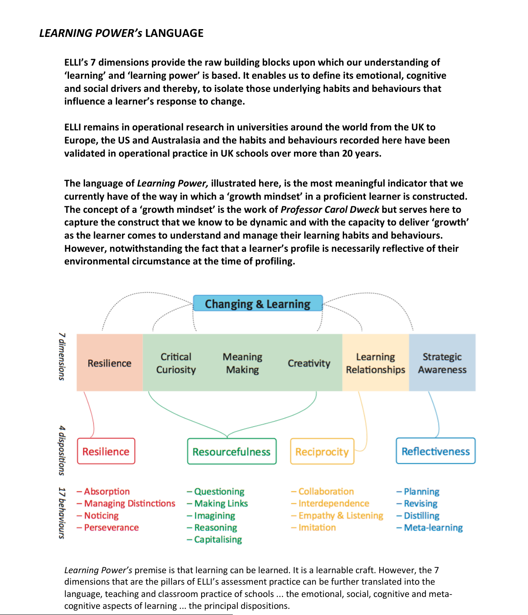## *LEARNING POWER's* **LANGUAGE**

**ELLI's 7 dimensions provide the raw building blocks upon which our understanding of 'learning' and 'learning power' is based. It enables us to define its emotional, cognitive and social drivers and thereby, to isolate those underlying habits and behaviours that influence a learner's response to change.**

**ELLI remains in operational research in universities around the world from the UK to Europe, the US and Australasia and the habits and behaviours recorded here have been validated in operational practice in UK schools over more than 20 years.**

**The language of** *Learning Power,* **illustrated here, is the most meaningful indicator that we currently have of the way in which a 'growth mindset' in a proficient learner is constructed. The concept of a 'growth mindset' is the work of** *Professor Carol Dweck* **but serves here to capture the construct that we know to be dynamic and with the capacity to deliver 'growth' as the learner comes to understand and manage their learning habits and behaviours. However, notwithstanding the fact that a learner's profile is necessarily reflective of their environmental circumstance at the time of profiling.** 



*Learning Power's* premise is that learning can be learned. It is a learnable craft. However, the 7 dimensions that are the pillars of ELLI's assessment practice can be further translated into the language, teaching and classroom practice of schools ... the emotional, social, cognitive and meta cognitive aspects of learning ... the principal dispositions.